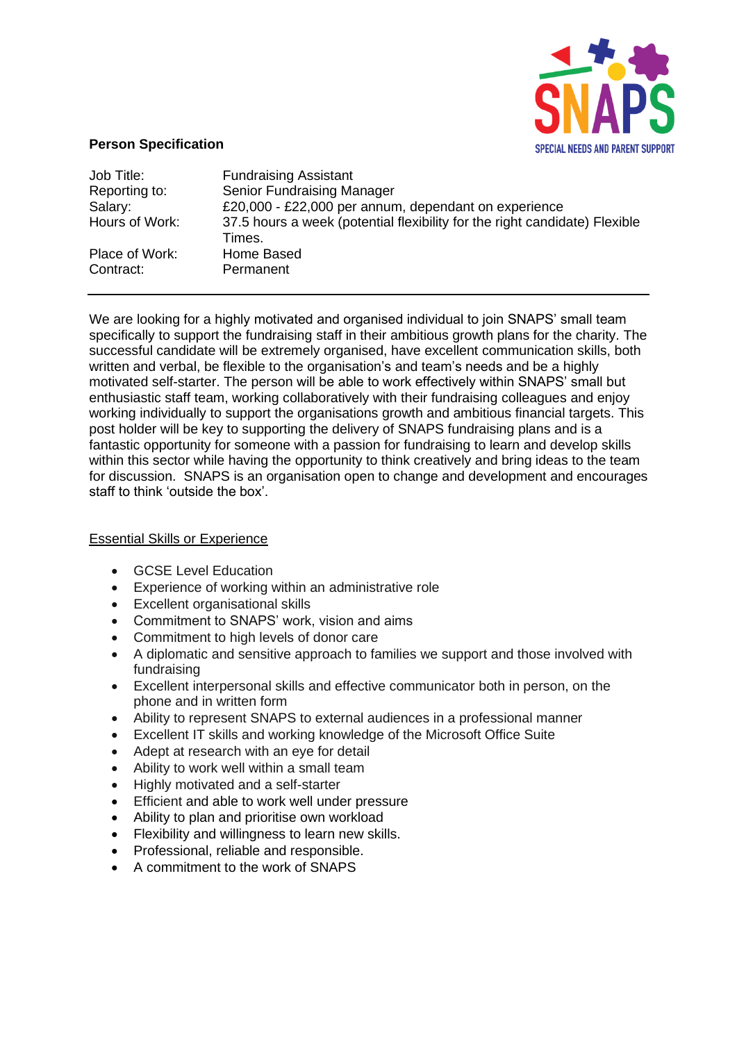

## **Person Specification**

| Job Title:     | <b>Fundraising Assistant</b>                                                         |
|----------------|--------------------------------------------------------------------------------------|
| Reporting to:  | <b>Senior Fundraising Manager</b>                                                    |
| Salary:        | £20,000 - £22,000 per annum, dependant on experience                                 |
| Hours of Work: | 37.5 hours a week (potential flexibility for the right candidate) Flexible<br>Times. |
| Place of Work: | Home Based                                                                           |
| Contract:      | Permanent                                                                            |

We are looking for a highly motivated and organised individual to join SNAPS' small team specifically to support the fundraising staff in their ambitious growth plans for the charity. The successful candidate will be extremely organised, have excellent communication skills, both written and verbal, be flexible to the organisation's and team's needs and be a highly motivated self-starter. The person will be able to work effectively within SNAPS' small but enthusiastic staff team, working collaboratively with their fundraising colleagues and enjoy working individually to support the organisations growth and ambitious financial targets. This post holder will be key to supporting the delivery of SNAPS fundraising plans and is a fantastic opportunity for someone with a passion for fundraising to learn and develop skills within this sector while having the opportunity to think creatively and bring ideas to the team for discussion. SNAPS is an organisation open to change and development and encourages staff to think 'outside the box'.

## Essential Skills or Experience

- GCSE Level Education
- Experience of working within an administrative role
- Excellent organisational skills
- Commitment to SNAPS' work, vision and aims
- Commitment to high levels of donor care
- A diplomatic and sensitive approach to families we support and those involved with fundraising
- Excellent interpersonal skills and effective communicator both in person, on the phone and in written form
- Ability to represent SNAPS to external audiences in a professional manner
- Excellent IT skills and working knowledge of the Microsoft Office Suite
- Adept at research with an eye for detail
- Ability to work well within a small team
- Highly motivated and a self-starter
- Efficient and able to work well under pressure
- Ability to plan and prioritise own workload
- Flexibility and willingness to learn new skills.
- Professional, reliable and responsible.
- A commitment to the work of SNAPS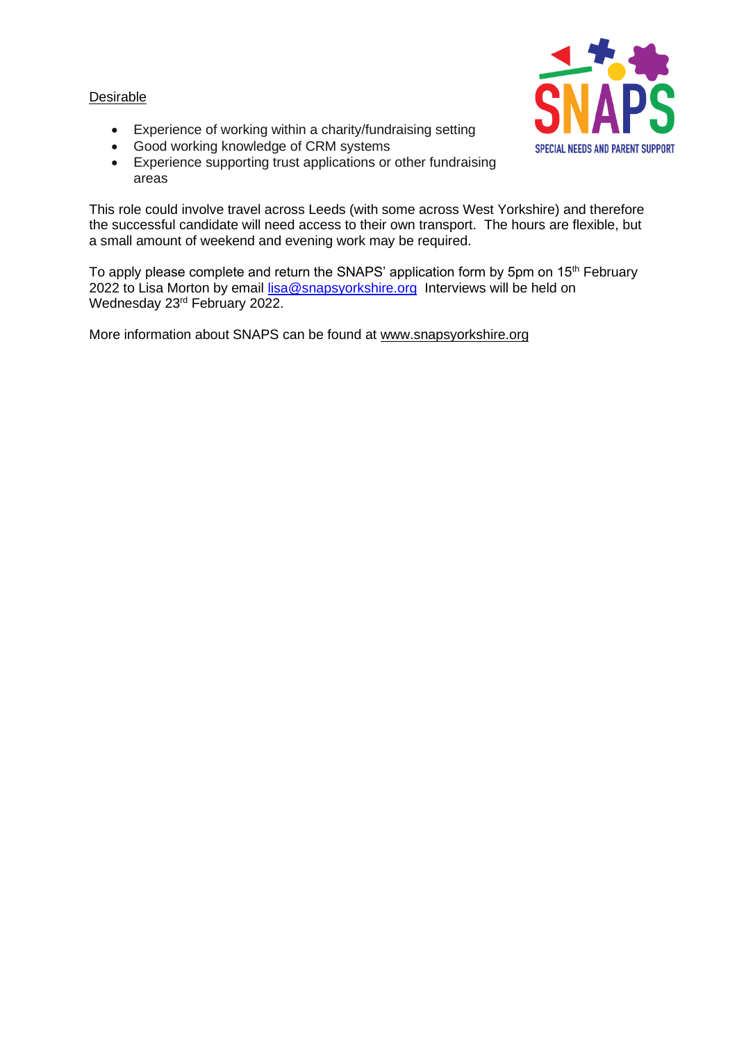## **Desirable**



- Experience of working within a charity/fundraising setting
- Good working knowledge of CRM systems
- Experience supporting trust applications or other fundraising areas

This role could involve travel across Leeds (with some across West Yorkshire) and therefore the successful candidate will need access to their own transport. The hours are flexible, but a small amount of weekend and evening work may be required.

To apply please complete and return the SNAPS' application form by 5pm on  $15<sup>th</sup>$  February 2022 to Lisa Morton by email [lisa@snapsyorkshire.org](mailto:lisa@snapsyorkshire.org) Interviews will be held on Wednesday 23rd February 2022.

More information about SNAPS can be found at [www.snapsyorkshire.org](http://www.snapsyorkshire.org/)